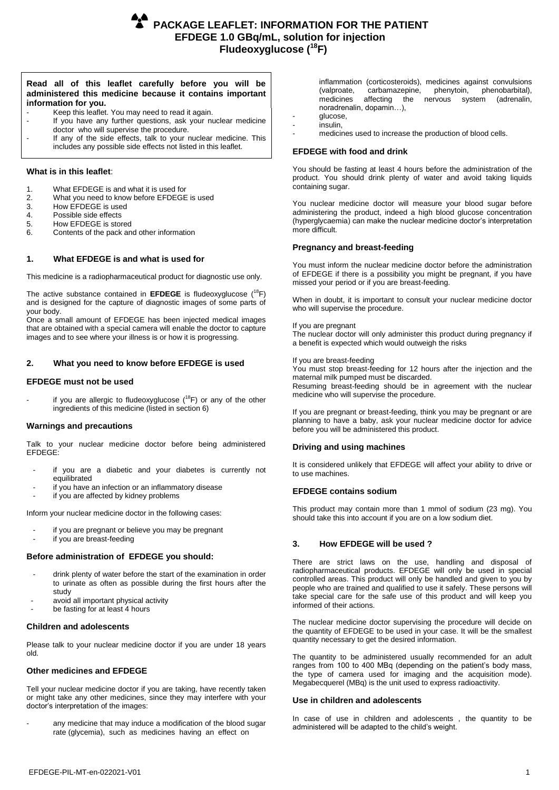# **Read all of this leaflet carefully before you will be administered this medicine because it contains important information for you.**

- Keep this leaflet. You may need to read it again.
- If you have any further questions, ask your nuclear medicine doctor who will supervise the procedure.
- If any of the side effects, talk to your nuclear medicine. This includes any possible side effects not listed in this leaflet.

# **What is in this leaflet**:

- 1. What EFDEGE is and what it is used for<br>2. What you need to know before EFDEGE
- 2. What you need to know before EFDEGE is used<br>3. How EFDEGE is used
- 
- 3. How EFDEGE is used<br>4. Possible side effects
- 4. Possible side effects<br>5. How EFDEGE is stor
- 5. How EFDEGE is stored<br>6. Contents of the pack an 6. Contents of the pack and other information

# **1. What EFDEGE is and what is used for**

This medicine is a radiopharmaceutical product for diagnostic use only.

The active substance contained in **EFDEGE** is fludeoxyglucose (<sup>18</sup>F) and is designed for the capture of diagnostic images of some parts of your body.

Once a small amount of EFDEGE has been injected medical images that are obtained with a special camera will enable the doctor to capture images and to see where your illness is or how it is progressing.

# **2. What you need to know before EFDEGE is used**

## **EFDEGE must not be used**

if you are allergic to fludeoxyglucose  $(^{18}F)$  or any of the other ingredients of this medicine (listed in section 6)

## **Warnings and precautions**

Talk to your nuclear medicine doctor before being administered EFDEGE:

- if you are a diabetic and your diabetes is currently not equilibrated
- if you have an infection or an inflammatory disease
- if you are affected by kidney problems

Inform your nuclear medicine doctor in the following cases:

- if you are pregnant or believe you may be pregnant
- if you are breast-feeding

## **Before administration of EFDEGE you should:**

- drink plenty of water before the start of the examination in order to urinate as often as possible during the first hours after the study
- avoid all important physical activity
- be fasting for at least 4 hours

## **Children and adolescents**

Please talk to your nuclear medicine doctor if you are under 18 years old.

## **Other medicines and EFDEGE**

Tell your nuclear medicine doctor if you are taking, have recently taken or might take any other medicines, since they may interfere with your doctor's interpretation of the images:

any medicine that may induce a modification of the blood sugar rate (glycemia), such as medicines having an effect on

inflammation (corticosteroids), medicines against convulsions (valproate, carbamazepine, phenytoin, phenobarbital), (valproate, carbamazepine, phenytoin, phenobarbital), affecting the nervous system noradrenalin, dopamin…),

- glucose, - insulin,
- medicines used to increase the production of blood cells.

# **EFDEGE with food and drink**

You should be fasting at least 4 hours before the administration of the product. You should drink plenty of water and avoid taking liquids containing sugar.

You nuclear medicine doctor will measure your blood sugar before administering the product, indeed a high blood glucose concentration (hyperglycaemia) can make the nuclear medicine doctor's interpretation more difficult.

# **Pregnancy and breast-feeding**

You must inform the nuclear medicine doctor before the administration of EFDEGE if there is a possibility you might be pregnant, if you have missed your period or if you are breast-feeding.

When in doubt, it is important to consult your nuclear medicine doctor who will supervise the procedure.

If you are pregnant

The nuclear doctor will only administer this product during pregnancy if a benefit is expected which would outweigh the risks

If you are breast-feeding

You must stop breast-feeding for 12 hours after the injection and the maternal milk pumped must be discarded.

Resuming breast-feeding should be in agreement with the nuclear medicine who will supervise the procedure.

If you are pregnant or breast-feeding, think you may be pregnant or are planning to have a baby, ask your nuclear medicine doctor for advice before you will be administered this product.

# **Driving and using machines**

It is considered unlikely that EFDEGE will affect your ability to drive or to use machines.

## **EFDEGE contains sodium**

This product may contain more than 1 mmol of sodium (23 mg). You should take this into account if you are on a low sodium diet.

# **3. How EFDEGE will be used ?**

There are strict laws on the use, handling and disposal of radiopharmaceutical products. EFDEGE will only be used in special controlled areas. This product will only be handled and given to you by people who are trained and qualified to use it safely. These persons will take special care for the safe use of this product and will keep you informed of their actions.

The nuclear medicine doctor supervising the procedure will decide on the quantity of EFDEGE to be used in your case. It will be the smallest quantity necessary to get the desired information.

The quantity to be administered usually recommended for an adult ranges from 100 to 400 MBq (depending on the patient's body mass, the type of camera used for imaging and the acquisition mode). Megabecquerel (MBq) is the unit used to express radioactivity.

## **Use in children and adolescents**

In case of use in children and adolescents , the quantity to be administered will be adapted to the child's weight.